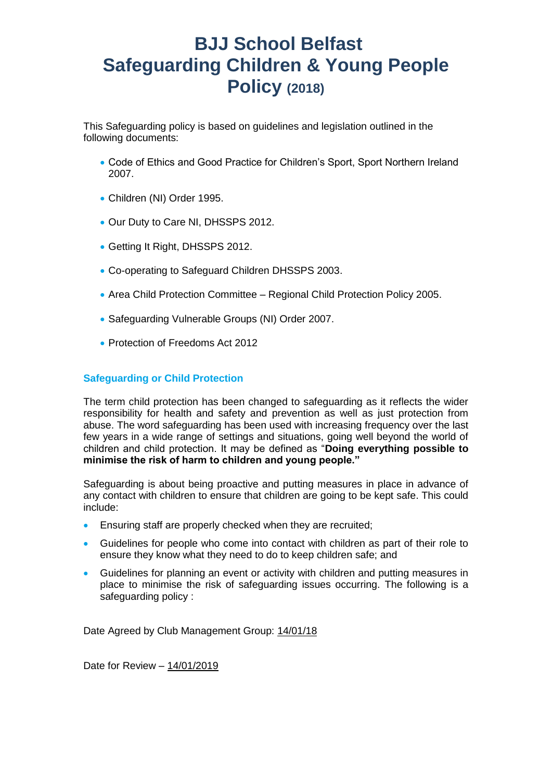# **BJJ School Belfast Safeguarding Children & Young People Policy (2018)**

This Safeguarding policy is based on guidelines and legislation outlined in the following documents:

- Code of Ethics and Good Practice for Children's Sport, Sport Northern Ireland 2007.
- Children (NI) Order 1995.
- Our Duty to Care NI, DHSSPS 2012.
- Getting It Right, DHSSPS 2012.
- Co-operating to Safeguard Children DHSSPS 2003.
- Area Child Protection Committee Regional Child Protection Policy 2005.
- Safeguarding Vulnerable Groups (NI) Order 2007.
- **Protection of Freedoms Act 2012**

# **Safeguarding or Child Protection**

The term child protection has been changed to safeguarding as it reflects the wider responsibility for health and safety and prevention as well as just protection from abuse. The word safeguarding has been used with increasing frequency over the last few years in a wide range of settings and situations, going well beyond the world of children and child protection. It may be defined as "**Doing everything possible to minimise the risk of harm to children and young people."**

Safeguarding is about being proactive and putting measures in place in advance of any contact with children to ensure that children are going to be kept safe. This could include:

- **Ensuring staff are properly checked when they are recruited:**
- Guidelines for people who come into contact with children as part of their role to ensure they know what they need to do to keep children safe; and
- Guidelines for planning an event or activity with children and putting measures in place to minimise the risk of safeguarding issues occurring. The following is a safeguarding policy :

Date Agreed by Club Management Group: 14/01/18

Date for Review – 14/01/2019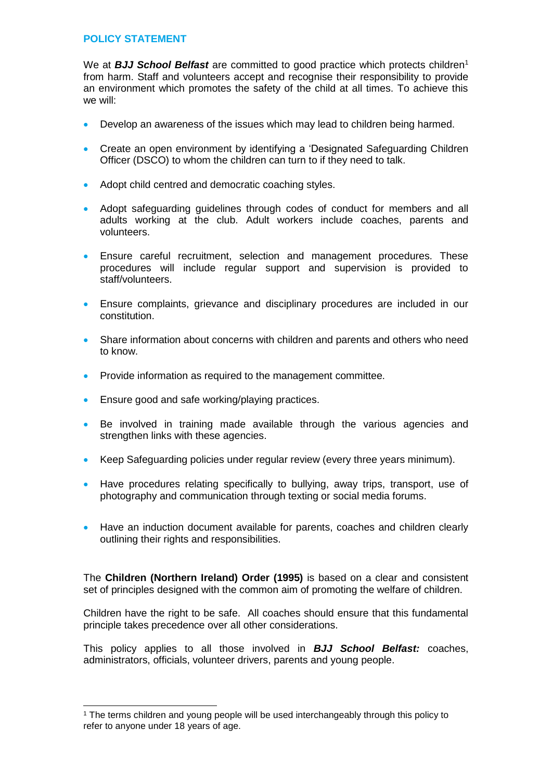# **POLICY STATEMENT**

We at **BJJ School Belfast** are committed to good practice which protects children<sup>1</sup> from harm. Staff and volunteers accept and recognise their responsibility to provide an environment which promotes the safety of the child at all times. To achieve this we will:

- Develop an awareness of the issues which may lead to children being harmed.
- Create an open environment by identifying a 'Designated Safeguarding Children Officer (DSCO) to whom the children can turn to if they need to talk.
- Adopt child centred and democratic coaching styles.
- Adopt safeguarding guidelines through codes of conduct for members and all adults working at the club. Adult workers include coaches, parents and volunteers.
- Ensure careful recruitment, selection and management procedures. These procedures will include regular support and supervision is provided to staff/volunteers.
- Ensure complaints, grievance and disciplinary procedures are included in our constitution.
- Share information about concerns with children and parents and others who need to know.
- Provide information as required to the management committee.
- **Ensure good and safe working/playing practices.**

1

- Be involved in training made available through the various agencies and strengthen links with these agencies.
- Keep Safeguarding policies under regular review (every three years minimum).
- Have procedures relating specifically to bullying, away trips, transport, use of photography and communication through texting or social media forums.
- Have an induction document available for parents, coaches and children clearly outlining their rights and responsibilities.

The **Children (Northern Ireland) Order (1995)** is based on a clear and consistent set of principles designed with the common aim of promoting the welfare of children.

Children have the right to be safe. All coaches should ensure that this fundamental principle takes precedence over all other considerations.

This policy applies to all those involved in *BJJ School Belfast:* coaches, administrators, officials, volunteer drivers, parents and young people.

<sup>&</sup>lt;sup>1</sup> The terms children and young people will be used interchangeably through this policy to refer to anyone under 18 years of age.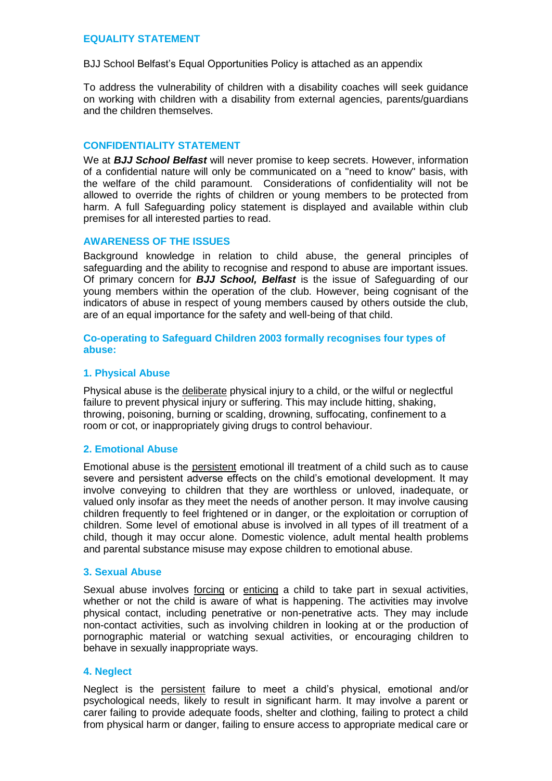# **EQUALITY STATEMENT**

BJJ School Belfast's Equal Opportunities Policy is attached as an appendix

To address the vulnerability of children with a disability coaches will seek guidance on working with children with a disability from external agencies, parents/guardians and the children themselves.

### **CONFIDENTIALITY STATEMENT**

We at *BJJ School Belfast* will never promise to keep secrets. However, information of a confidential nature will only be communicated on a "need to know" basis, with the welfare of the child paramount. Considerations of confidentiality will not be allowed to override the rights of children or young members to be protected from harm. A full Safeguarding policy statement is displayed and available within club premises for all interested parties to read.

### **AWARENESS OF THE ISSUES**

Background knowledge in relation to child abuse, the general principles of safeguarding and the ability to recognise and respond to abuse are important issues. Of primary concern for *BJJ School, Belfast* is the issue of Safeguarding of our young members within the operation of the club. However, being cognisant of the indicators of abuse in respect of young members caused by others outside the club, are of an equal importance for the safety and well-being of that child.

### **Co-operating to Safeguard Children 2003 formally recognises four types of abuse:**

### **1. Physical Abuse**

Physical abuse is the deliberate physical injury to a child, or the wilful or neglectful failure to prevent physical injury or suffering. This may include hitting, shaking, throwing, poisoning, burning or scalding, drowning, suffocating, confinement to a room or cot, or inappropriately giving drugs to control behaviour.

### **2. Emotional Abuse**

Emotional abuse is the persistent emotional ill treatment of a child such as to cause severe and persistent adverse effects on the child's emotional development. It may involve conveying to children that they are worthless or unloved, inadequate, or valued only insofar as they meet the needs of another person. It may involve causing children frequently to feel frightened or in danger, or the exploitation or corruption of children. Some level of emotional abuse is involved in all types of ill treatment of a child, though it may occur alone. Domestic violence, adult mental health problems and parental substance misuse may expose children to emotional abuse.

### **3. Sexual Abuse**

Sexual abuse involves forcing or enticing a child to take part in sexual activities, whether or not the child is aware of what is happening. The activities may involve physical contact, including penetrative or non-penetrative acts. They may include non-contact activities, such as involving children in looking at or the production of pornographic material or watching sexual activities, or encouraging children to behave in sexually inappropriate ways.

### **4. Neglect**

Neglect is the persistent failure to meet a child's physical, emotional and/or psychological needs, likely to result in significant harm. It may involve a parent or carer failing to provide adequate foods, shelter and clothing, failing to protect a child from physical harm or danger, failing to ensure access to appropriate medical care or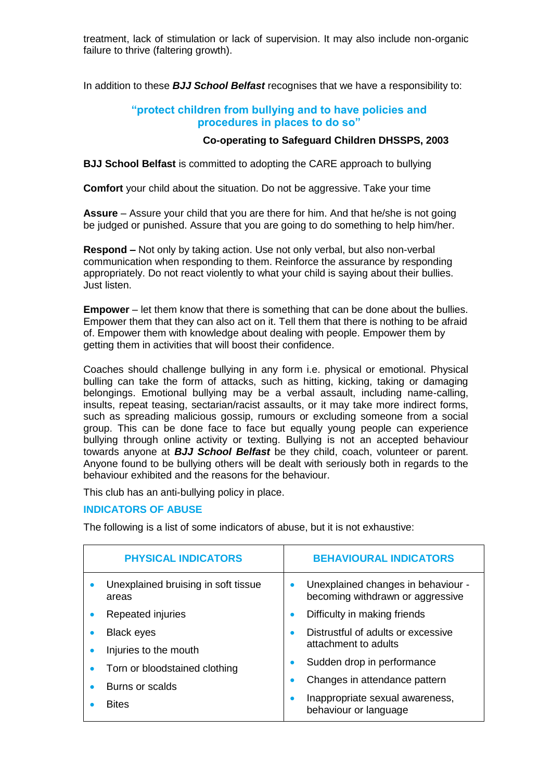treatment, lack of stimulation or lack of supervision. It may also include non-organic failure to thrive (faltering growth).

In addition to these *BJJ School Belfast* recognises that we have a responsibility to:

# **"protect children from bullying and to have policies and procedures in places to do so"**

### **Co-operating to Safeguard Children DHSSPS, 2003**

**BJJ School Belfast** is committed to adopting the CARE approach to bullying

**Comfort** your child about the situation. Do not be aggressive. Take your time

**Assure** – Assure your child that you are there for him. And that he/she is not going be judged or punished. Assure that you are going to do something to help him/her.

**Respond –** Not only by taking action. Use not only verbal, but also non-verbal communication when responding to them. Reinforce the assurance by responding appropriately. Do not react violently to what your child is saying about their bullies. Just listen.

**Empower** – let them know that there is something that can be done about the bullies. Empower them that they can also act on it. Tell them that there is nothing to be afraid of. Empower them with knowledge about dealing with people. Empower them by getting them in activities that will boost their confidence.

Coaches should challenge bullying in any form i.e. physical or emotional. Physical bulling can take the form of attacks, such as hitting, kicking, taking or damaging belongings. Emotional bullying may be a verbal assault, including name-calling, insults, repeat teasing, sectarian/racist assaults, or it may take more indirect forms, such as spreading malicious gossip, rumours or excluding someone from a social group. This can be done face to face but equally young people can experience bullying through online activity or texting. Bullying is not an accepted behaviour towards anyone at *BJJ School Belfast* be they child, coach, volunteer or parent. Anyone found to be bullying others will be dealt with seriously both in regards to the behaviour exhibited and the reasons for the behaviour.

This club has an anti-bullying policy in place.

# **INDICATORS OF ABUSE**

The following is a list of some indicators of abuse, but it is not exhaustive:

| <b>PHYSICAL INDICATORS</b>                   | <b>BEHAVIOURAL INDICATORS</b>                                          |
|----------------------------------------------|------------------------------------------------------------------------|
| Unexplained bruising in soft tissue<br>areas | Unexplained changes in behaviour -<br>becoming withdrawn or aggressive |
| Repeated injuries                            | Difficulty in making friends                                           |
| <b>Black eyes</b>                            | Distrustful of adults or excessive                                     |
| Injuries to the mouth                        | attachment to adults                                                   |
| Torn or bloodstained clothing                | Sudden drop in performance                                             |
| Burns or scalds                              | Changes in attendance pattern                                          |
| <b>Bites</b>                                 | Inappropriate sexual awareness,<br>behaviour or language               |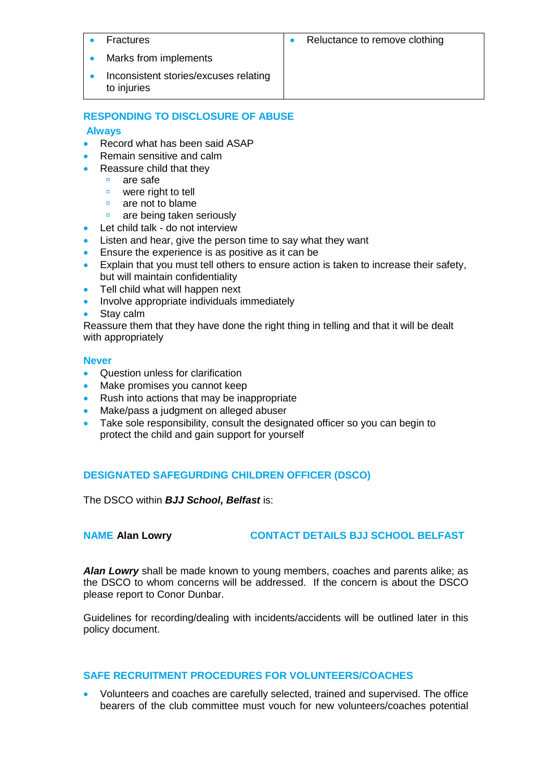| Fractures                                            | Reluctance to remove clothing |
|------------------------------------------------------|-------------------------------|
| Marks from implements                                |                               |
| Inconsistent stories/excuses relating<br>to injuries |                               |

# **RESPONDING TO DISCLOSURE OF ABUSE**

# **Always**

- Record what has been said ASAP
- Remain sensitive and calm
- Reassure child that they
	- **are safe**
	- **E** were right to tell
	- $\Box$  are not to blame
	- are being taken seriously
- Let child talk do not interview
- Listen and hear, give the person time to say what they want
- **Ensure the experience is as positive as it can be**
- Explain that you must tell others to ensure action is taken to increase their safety, but will maintain confidentiality
- Tell child what will happen next
- Involve appropriate individuals immediately
- Stay calm

Reassure them that they have done the right thing in telling and that it will be dealt with appropriately

# **Never**

- Question unless for clarification
- Make promises you cannot keep
- Rush into actions that may be inappropriate
- Make/pass a judgment on alleged abuser
- Take sole responsibility, consult the designated officer so you can begin to protect the child and gain support for yourself

# **DESIGNATED SAFEGURDING CHILDREN OFFICER (DSCO)**

The DSCO within *BJJ School, Belfast* is:

# **NAME Alan Lowry CONTACT DETAILS BJJ SCHOOL BELFAST**

*Alan Lowry* shall be made known to young members, coaches and parents alike; as the DSCO to whom concerns will be addressed. If the concern is about the DSCO please report to Conor Dunbar.

Guidelines for recording/dealing with incidents/accidents will be outlined later in this policy document.

# **SAFE RECRUITMENT PROCEDURES FOR VOLUNTEERS/COACHES**

 Volunteers and coaches are carefully selected, trained and supervised. The office bearers of the club committee must vouch for new volunteers/coaches potential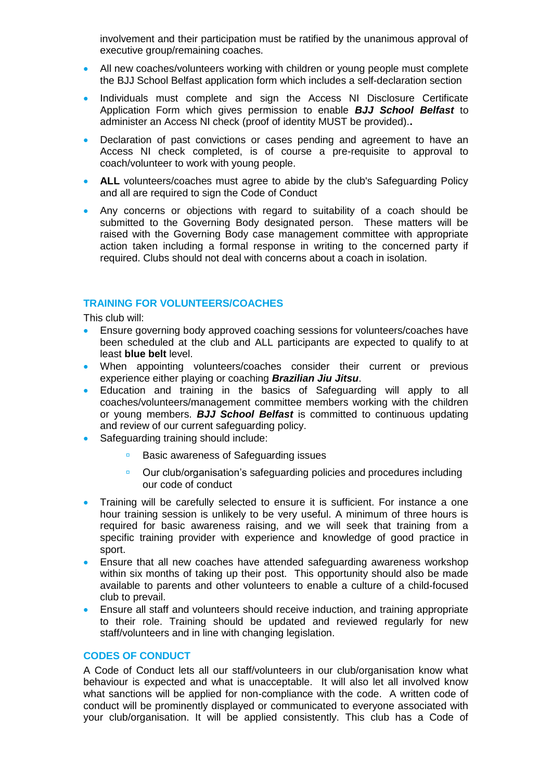involvement and their participation must be ratified by the unanimous approval of executive group/remaining coaches.

- All new coaches/volunteers working with children or young people must complete the BJJ School Belfast application form which includes a self-declaration section
- Individuals must complete and sign the Access NI Disclosure Certificate Application Form which gives permission to enable *BJJ School Belfast* to administer an Access NI check (proof of identity MUST be provided).**.**
- Declaration of past convictions or cases pending and agreement to have an Access NI check completed, is of course a pre-requisite to approval to coach/volunteer to work with young people.
- **ALL** volunteers/coaches must agree to abide by the club's Safeguarding Policy and all are required to sign the Code of Conduct
- Any concerns or objections with regard to suitability of a coach should be submitted to the Governing Body designated person. These matters will be raised with the Governing Body case management committee with appropriate action taken including a formal response in writing to the concerned party if required. Clubs should not deal with concerns about a coach in isolation.

### **TRAINING FOR VOLUNTEERS/COACHES**

This club will:

- Ensure governing body approved coaching sessions for volunteers/coaches have been scheduled at the club and ALL participants are expected to qualify to at least **blue belt** level.
- When appointing volunteers/coaches consider their current or previous experience either playing or coaching *Brazilian Jiu Jitsu*.
- Education and training in the basics of Safeguarding will apply to all coaches/volunteers/management committee members working with the children or young members. *BJJ School Belfast* is committed to continuous updating and review of our current safeguarding policy.
- Safeguarding training should include:
	- **Basic awareness of Safeguarding issues**
	- Our club/organisation's safeguarding policies and procedures including our code of conduct
- Training will be carefully selected to ensure it is sufficient. For instance a one hour training session is unlikely to be very useful. A minimum of three hours is required for basic awareness raising, and we will seek that training from a specific training provider with experience and knowledge of good practice in sport.
- Ensure that all new coaches have attended safeguarding awareness workshop within six months of taking up their post. This opportunity should also be made available to parents and other volunteers to enable a culture of a child-focused club to prevail.
- Ensure all staff and volunteers should receive induction, and training appropriate to their role. Training should be updated and reviewed regularly for new staff/volunteers and in line with changing legislation.

## **CODES OF CONDUCT**

A Code of Conduct lets all our staff/volunteers in our club/organisation know what behaviour is expected and what is unacceptable. It will also let all involved know what sanctions will be applied for non-compliance with the code. A written code of conduct will be prominently displayed or communicated to everyone associated with your club/organisation. It will be applied consistently. This club has a Code of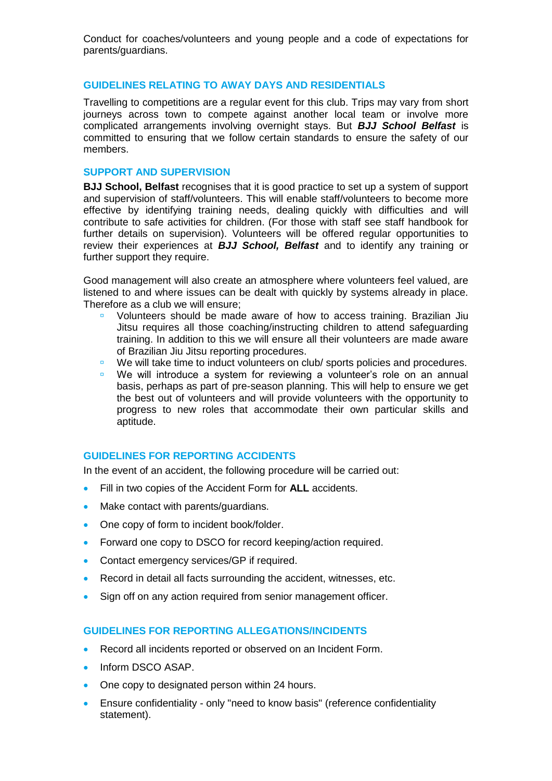Conduct for coaches/volunteers and young people and a code of expectations for parents/guardians.

### **GUIDELINES RELATING TO AWAY DAYS AND RESIDENTIALS**

Travelling to competitions are a regular event for this club. Trips may vary from short journeys across town to compete against another local team or involve more complicated arrangements involving overnight stays. But *BJJ School Belfast* is committed to ensuring that we follow certain standards to ensure the safety of our members.

### **SUPPORT AND SUPERVISION**

**BJJ School, Belfast** recognises that it is good practice to set up a system of support and supervision of staff/volunteers. This will enable staff/volunteers to become more effective by identifying training needs, dealing quickly with difficulties and will contribute to safe activities for children. (For those with staff see staff handbook for further details on supervision). Volunteers will be offered regular opportunities to review their experiences at *BJJ School, Belfast* and to identify any training or further support they require.

Good management will also create an atmosphere where volunteers feel valued, are listened to and where issues can be dealt with quickly by systems already in place. Therefore as a club we will ensure;

- Volunteers should be made aware of how to access training. Brazilian Jiu Jitsu requires all those coaching/instructing children to attend safeguarding training. In addition to this we will ensure all their volunteers are made aware of Brazilian Jiu Jitsu reporting procedures.
- We will take time to induct volunteers on club/ sports policies and procedures.
- We will introduce a system for reviewing a volunteer's role on an annual basis, perhaps as part of pre-season planning. This will help to ensure we get the best out of volunteers and will provide volunteers with the opportunity to progress to new roles that accommodate their own particular skills and aptitude.

### **GUIDELINES FOR REPORTING ACCIDENTS**

In the event of an accident, the following procedure will be carried out:

- Fill in two copies of the Accident Form for **ALL** accidents.
- Make contact with parents/guardians.
- One copy of form to incident book/folder.
- Forward one copy to DSCO for record keeping/action required.
- **Contact emergency services/GP if required.**
- Record in detail all facts surrounding the accident, witnesses, etc.
- Sign off on any action required from senior management officer.

# **GUIDELINES FOR REPORTING ALLEGATIONS/INCIDENTS**

- Record all incidents reported or observed on an Incident Form.
- Inform DSCO ASAP.
- One copy to designated person within 24 hours.
- Ensure confidentiality only "need to know basis" (reference confidentiality statement).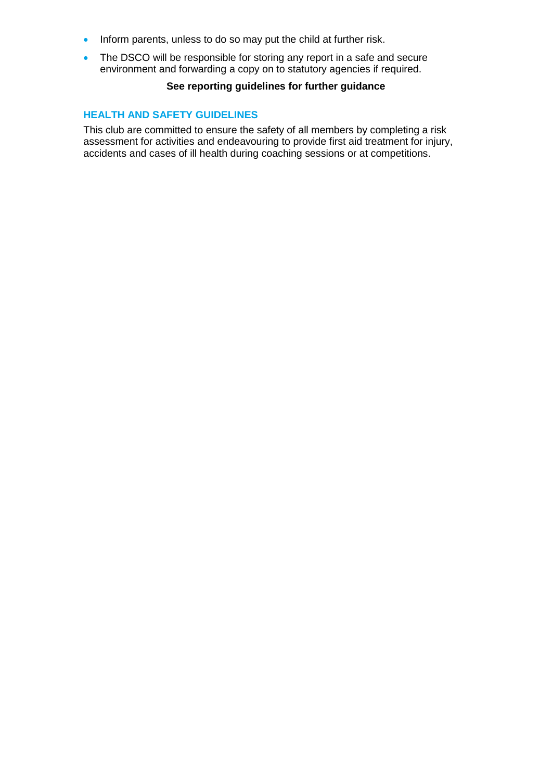- Inform parents, unless to do so may put the child at further risk.
- The DSCO will be responsible for storing any report in a safe and secure environment and forwarding a copy on to statutory agencies if required.

# **See reporting guidelines for further guidance**

### **HEALTH AND SAFETY GUIDELINES**

This club are committed to ensure the safety of all members by completing a risk assessment for activities and endeavouring to provide first aid treatment for injury, accidents and cases of ill health during coaching sessions or at competitions.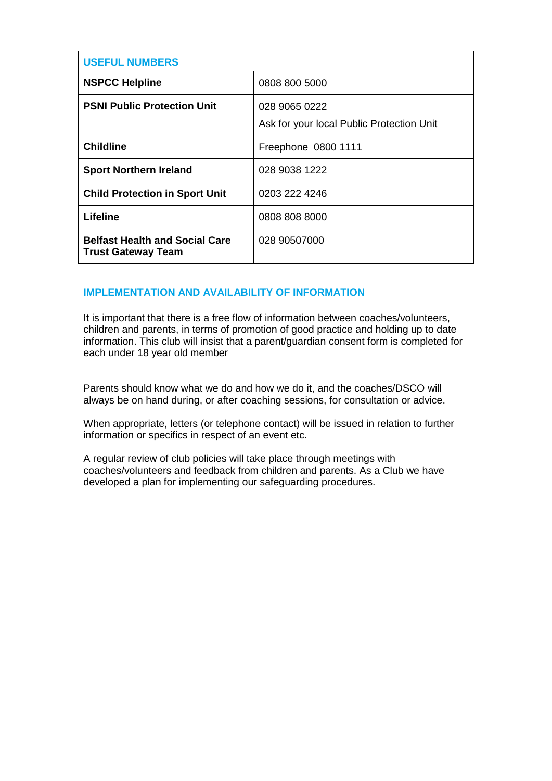| <b>USEFUL NUMBERS</b>                                              |                                                            |
|--------------------------------------------------------------------|------------------------------------------------------------|
| <b>NSPCC Helpline</b>                                              | 0808 800 5000                                              |
| <b>PSNI Public Protection Unit</b>                                 | 028 9065 0222<br>Ask for your local Public Protection Unit |
| <b>Childline</b>                                                   | Freephone 0800 1111                                        |
| <b>Sport Northern Ireland</b>                                      | 028 9038 1222                                              |
| <b>Child Protection in Sport Unit</b>                              | 0203 222 4246                                              |
| Lifeline                                                           | 0808 808 8000                                              |
| <b>Belfast Health and Social Care</b><br><b>Trust Gateway Team</b> | 028 90507000                                               |

# **IMPLEMENTATION AND AVAILABILITY OF INFORMATION**

It is important that there is a free flow of information between coaches/volunteers, children and parents, in terms of promotion of good practice and holding up to date information. This club will insist that a parent/guardian consent form is completed for each under 18 year old member

Parents should know what we do and how we do it, and the coaches/DSCO will always be on hand during, or after coaching sessions, for consultation or advice.

When appropriate, letters (or telephone contact) will be issued in relation to further information or specifics in respect of an event etc.

A regular review of club policies will take place through meetings with coaches/volunteers and feedback from children and parents. As a Club we have developed a plan for implementing our safeguarding procedures.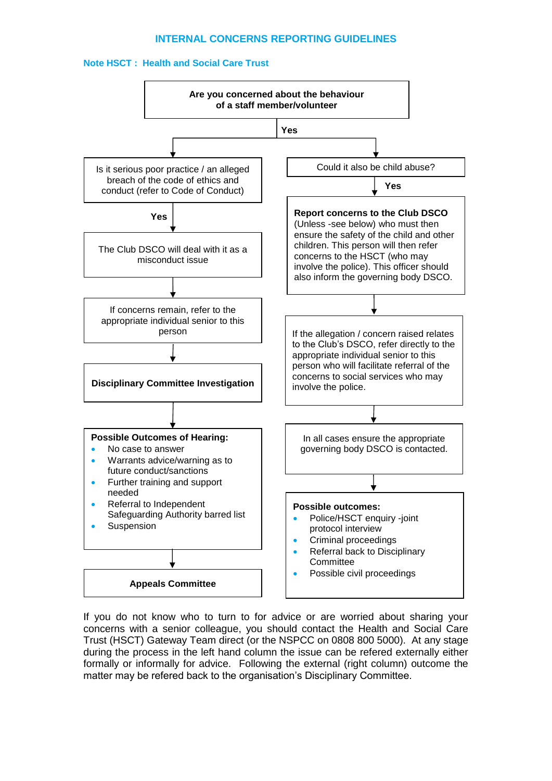### **INTERNAL CONCERNS REPORTING GUIDELINES**





If you do not know who to turn to for advice or are worried about sharing your concerns with a senior colleague, you should contact the Health and Social Care Trust (HSCT) Gateway Team direct (or the NSPCC on 0808 800 5000). At any stage during the process in the left hand column the issue can be refered externally either formally or informally for advice. Following the external (right column) outcome the matter may be refered back to the organisation's Disciplinary Committee.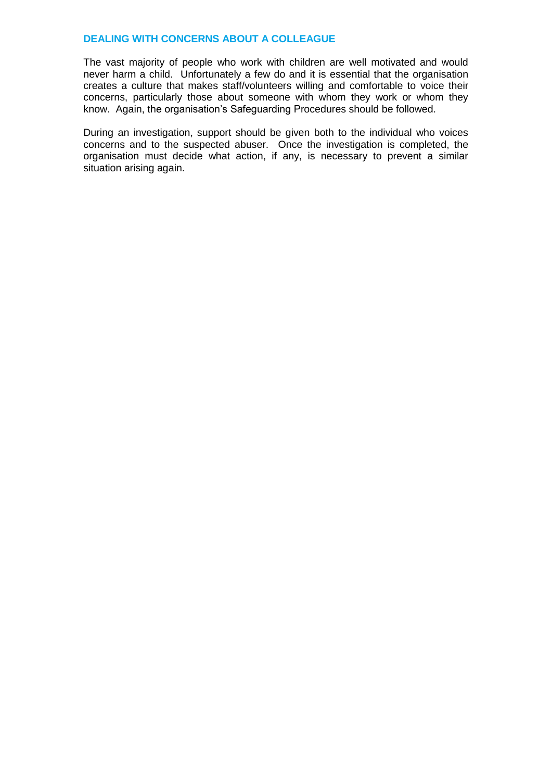### **DEALING WITH CONCERNS ABOUT A COLLEAGUE**

The vast majority of people who work with children are well motivated and would never harm a child. Unfortunately a few do and it is essential that the organisation creates a culture that makes staff/volunteers willing and comfortable to voice their concerns, particularly those about someone with whom they work or whom they know. Again, the organisation's Safeguarding Procedures should be followed.

During an investigation, support should be given both to the individual who voices concerns and to the suspected abuser. Once the investigation is completed, the organisation must decide what action, if any, is necessary to prevent a similar situation arising again.